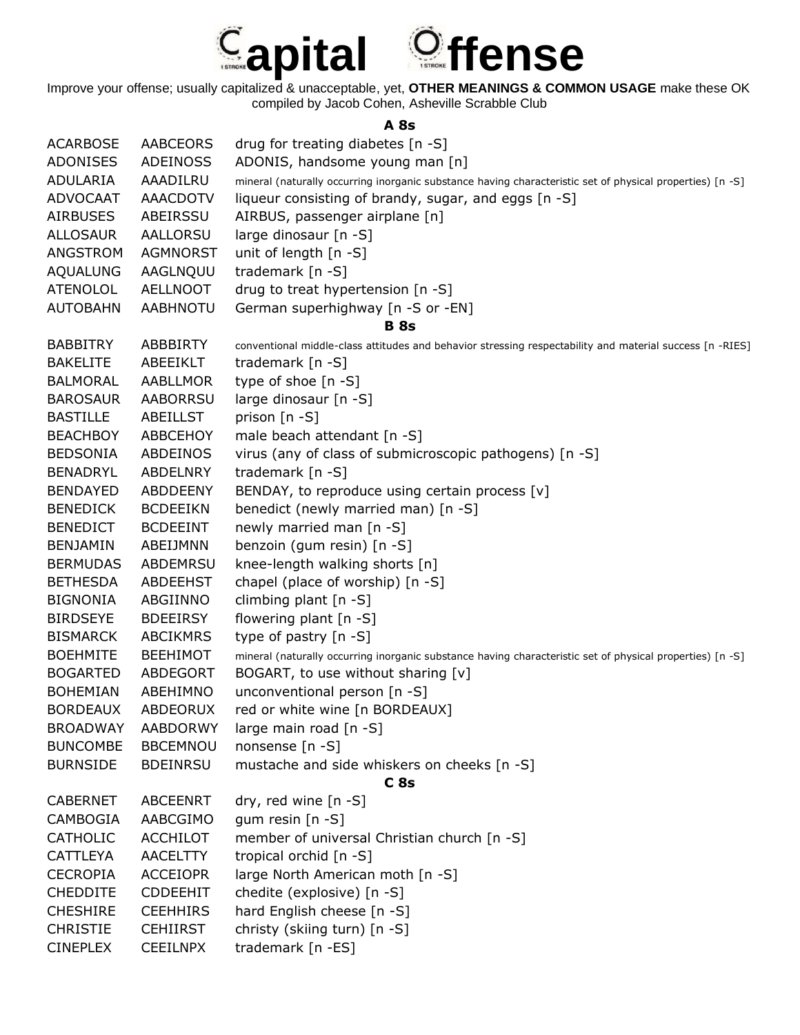

**A 8s**

| <b>ACARBOSE</b> | <b>AABCEORS</b> | drug for treating diabetes [n -S]                                                                         |
|-----------------|-----------------|-----------------------------------------------------------------------------------------------------------|
| <b>ADONISES</b> | <b>ADEINOSS</b> | ADONIS, handsome young man [n]                                                                            |
| ADULARIA        | AAADILRU        | mineral (naturally occurring inorganic substance having characteristic set of physical properties) [n -S] |
| <b>ADVOCAAT</b> | <b>AAACDOTV</b> | liqueur consisting of brandy, sugar, and eggs [n -S]                                                      |
| <b>AIRBUSES</b> | ABEIRSSU        | AIRBUS, passenger airplane [n]                                                                            |
| <b>ALLOSAUR</b> | <b>AALLORSU</b> | large dinosaur [n -S]                                                                                     |
| ANGSTROM        | <b>AGMNORST</b> | unit of length [n -S]                                                                                     |
| <b>AQUALUNG</b> | AAGLNQUU        | trademark [n -S]                                                                                          |
| <b>ATENOLOL</b> | <b>AELLNOOT</b> | drug to treat hypertension [n -S]                                                                         |
| <b>AUTOBAHN</b> | <b>AABHNOTU</b> | German superhighway [n -S or -EN]                                                                         |
|                 |                 | <b>B</b> 8s                                                                                               |
| <b>BABBITRY</b> | <b>ABBBIRTY</b> | conventional middle-class attitudes and behavior stressing respectability and material success [n -RIES]  |
| <b>BAKELITE</b> | ABEEIKLT        | trademark [n -S]                                                                                          |
| <b>BALMORAL</b> | AABLLMOR        | type of shoe [n -S]                                                                                       |
| <b>BAROSAUR</b> | <b>AABORRSU</b> | large dinosaur [n -S]                                                                                     |
| <b>BASTILLE</b> | <b>ABEILLST</b> | prison $[n - S]$                                                                                          |
| <b>BEACHBOY</b> | <b>ABBCEHOY</b> | male beach attendant [n -S]                                                                               |
| <b>BEDSONIA</b> | ABDEINOS        | virus (any of class of submicroscopic pathogens) [n -S]                                                   |
| <b>BENADRYL</b> | ABDELNRY        | trademark $[n -S]$                                                                                        |
| <b>BENDAYED</b> | <b>ABDDEENY</b> | BENDAY, to reproduce using certain process [v]                                                            |
| <b>BENEDICK</b> | <b>BCDEEIKN</b> | benedict (newly married man) [n -S]                                                                       |
| <b>BENEDICT</b> | <b>BCDEEINT</b> | newly married man [n -S]                                                                                  |
| <b>BENJAMIN</b> | ABEIJMNN        | benzoin (gum resin) [n -S]                                                                                |
| <b>BERMUDAS</b> | <b>ABDEMRSU</b> | knee-length walking shorts [n]                                                                            |
| <b>BETHESDA</b> | <b>ABDEEHST</b> | chapel (place of worship) [n -S]                                                                          |
| <b>BIGNONIA</b> | ABGIINNO        | climbing plant $[n - S]$                                                                                  |
| <b>BIRDSEYE</b> | <b>BDEEIRSY</b> | flowering plant [n -S]                                                                                    |
| <b>BISMARCK</b> | <b>ABCIKMRS</b> | type of pastry [n -S]                                                                                     |
| <b>BOEHMITE</b> | <b>BEEHIMOT</b> | mineral (naturally occurring inorganic substance having characteristic set of physical properties) [n -S] |
| <b>BOGARTED</b> | <b>ABDEGORT</b> | BOGART, to use without sharing [v]                                                                        |
| <b>BOHEMIAN</b> | ABEHIMNO        | unconventional person [n -S]                                                                              |
| <b>BORDEAUX</b> | ABDEORUX        | red or white wine [n BORDEAUX]                                                                            |
| <b>BROADWAY</b> | <b>AABDORWY</b> | large main road [n -S]                                                                                    |
| <b>BUNCOMBE</b> | <b>BBCEMNOU</b> | nonsense [n -S]                                                                                           |
| <b>BURNSIDE</b> | <b>BDEINRSU</b> | mustache and side whiskers on cheeks [n -S]                                                               |
|                 |                 | C <sub>8s</sub>                                                                                           |
| <b>CABERNET</b> | <b>ABCEENRT</b> | dry, red wine $[n - S]$                                                                                   |
| CAMBOGIA        | AABCGIMO        | gum resin [n -S]                                                                                          |
| <b>CATHOLIC</b> | <b>ACCHILOT</b> | member of universal Christian church [n -S]                                                               |
| <b>CATTLEYA</b> | <b>AACELTTY</b> | tropical orchid [n -S]                                                                                    |
| <b>CECROPIA</b> | <b>ACCEIOPR</b> | large North American moth [n -S]                                                                          |
| <b>CHEDDITE</b> | <b>CDDEEHIT</b> | chedite (explosive) [n -S]                                                                                |
| <b>CHESHIRE</b> | <b>CEEHHIRS</b> | hard English cheese [n -S]                                                                                |
| <b>CHRISTIE</b> | <b>CEHIIRST</b> | christy (skiing turn) [n -S]                                                                              |
| <b>CINEPLEX</b> | <b>CEEILNPX</b> | trademark [n -ES]                                                                                         |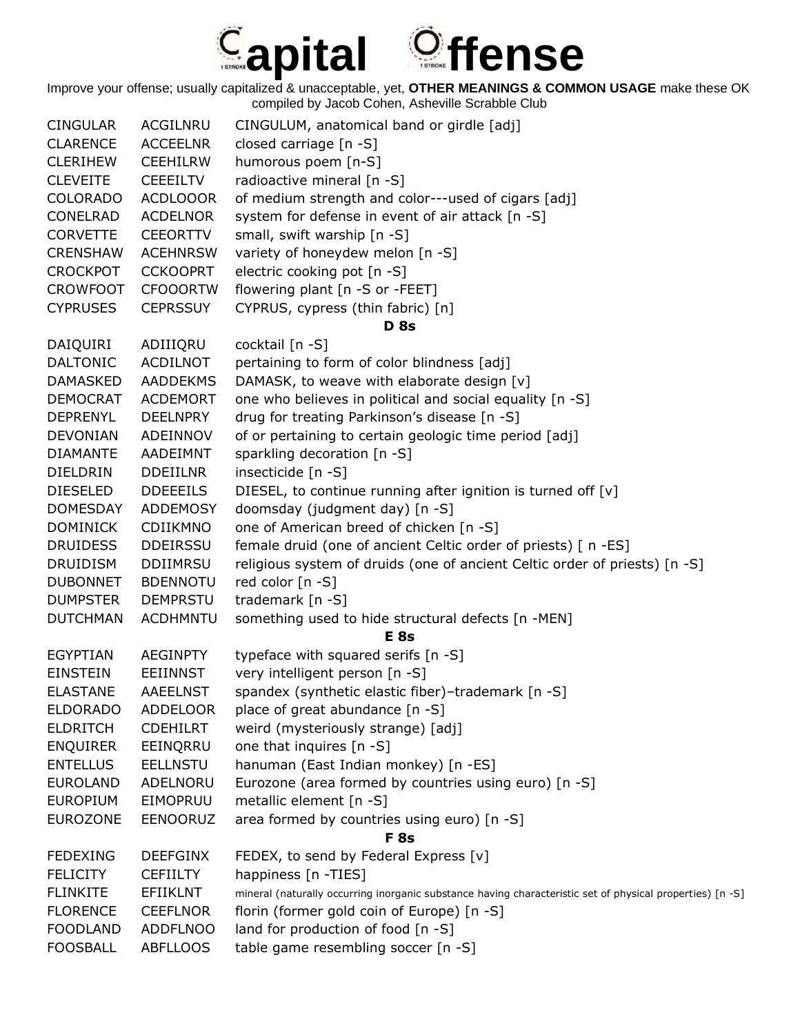## *Capital Offense*

| <b>CINGULAR</b> | ACGILNRU        | CINGULUM, anatomical band or girdle [adj]                                                                 |
|-----------------|-----------------|-----------------------------------------------------------------------------------------------------------|
| <b>CLARENCE</b> | <b>ACCEELNR</b> | closed carriage [n -S]                                                                                    |
| <b>CLERIHEW</b> | <b>CEEHILRW</b> | humorous poem [n-S]                                                                                       |
| <b>CLEVEITE</b> | <b>CEEEILTV</b> | radioactive mineral [n -S]                                                                                |
| <b>COLORADO</b> | <b>ACDLOOOR</b> | of medium strength and color---used of cigars [adj]                                                       |
| CONELRAD        | <b>ACDELNOR</b> | system for defense in event of air attack [n -S]                                                          |
| <b>CORVETTE</b> | <b>CEEORTTV</b> | small, swift warship [n -S]                                                                               |
| <b>CRENSHAW</b> | <b>ACEHNRSW</b> | variety of honeydew melon [n -S]                                                                          |
| <b>CROCKPOT</b> | <b>CCKOOPRT</b> | electric cooking pot [n -S]                                                                               |
| <b>CROWFOOT</b> | <b>CFOOORTW</b> | flowering plant [n -S or -FEET]                                                                           |
| <b>CYPRUSES</b> | <b>CEPRSSUY</b> | CYPRUS, cypress (thin fabric) [n]                                                                         |
|                 |                 | <b>D</b> 8s                                                                                               |
| DAIQUIRI        | ADIIIQRU        | cocktail [n -S]                                                                                           |
| <b>DALTONIC</b> | <b>ACDILNOT</b> | pertaining to form of color blindness [adj]                                                               |
| <b>DAMASKED</b> | <b>AADDEKMS</b> | DAMASK, to weave with elaborate design [v]                                                                |
| <b>DEMOCRAT</b> | <b>ACDEMORT</b> | one who believes in political and social equality [n -S]                                                  |
| <b>DEPRENYL</b> | <b>DEELNPRY</b> | drug for treating Parkinson's disease [n -S]                                                              |
| <b>DEVONIAN</b> | ADEINNOV        | of or pertaining to certain geologic time period [adj]                                                    |
| <b>DIAMANTE</b> | AADEIMNT        | sparkling decoration [n -S]                                                                               |
| DIELDRIN        | <b>DDEIILNR</b> | insecticide [n -S]                                                                                        |
| <b>DIESELED</b> | <b>DDEEEILS</b> | DIESEL, to continue running after ignition is turned off [v]                                              |
| <b>DOMESDAY</b> | ADDEMOSY        | doomsday (judgment day) [n -S]                                                                            |
| <b>DOMINICK</b> | CDIIKMNO        | one of American breed of chicken [n -S]                                                                   |
| <b>DRUIDESS</b> | <b>DDEIRSSU</b> | female druid (one of ancient Celtic order of priests) [ n -ES]                                            |
| <b>DRUIDISM</b> | <b>DDIIMRSU</b> | religious system of druids (one of ancient Celtic order of priests) [n -S]                                |
| <b>DUBONNET</b> | <b>BDENNOTU</b> | red color [n -S]                                                                                          |
| <b>DUMPSTER</b> | <b>DEMPRSTU</b> | trademark [n -S]                                                                                          |
| <b>DUTCHMAN</b> | <b>ACDHMNTU</b> | something used to hide structural defects [n -MEN]                                                        |
|                 |                 | <b>E</b> 8s                                                                                               |
| <b>EGYPTIAN</b> | <b>AEGINPTY</b> | typeface with squared serifs [n -S]                                                                       |
| <b>EINSTEIN</b> | <b>EEIINNST</b> | very intelligent person [n -S]                                                                            |
| <b>ELASTANE</b> | <b>AAEELNST</b> | spandex (synthetic elastic fiber)-trademark [n -S]                                                        |
| <b>ELDORADO</b> | <b>ADDELOOR</b> | place of great abundance [n -S]                                                                           |
| <b>ELDRITCH</b> | <b>CDEHILRT</b> | weird (mysteriously strange) [adj]                                                                        |
| <b>ENQUIRER</b> | EEINQRRU        | one that inquires [n -S]                                                                                  |
| <b>ENTELLUS</b> | <b>EELLNSTU</b> | hanuman (East Indian monkey) [n -ES]                                                                      |
| <b>EUROLAND</b> | ADELNORU        | Eurozone (area formed by countries using euro) [n -S]                                                     |
| <b>EUROPIUM</b> | EIMOPRUU        | metallic element [n -S]                                                                                   |
| <b>EUROZONE</b> | <b>EENOORUZ</b> | area formed by countries using euro) [n -S]                                                               |
|                 |                 | F <sub>8s</sub>                                                                                           |
| <b>FEDEXING</b> | <b>DEEFGINX</b> | FEDEX, to send by Federal Express [v]                                                                     |
| <b>FELICITY</b> | <b>CEFIILTY</b> | happiness [n -TIES]                                                                                       |
| <b>FLINKITE</b> | EFIIKLNT        | mineral (naturally occurring inorganic substance having characteristic set of physical properties) [n -S] |
| <b>FLORENCE</b> | <b>CEEFLNOR</b> | florin (former gold coin of Europe) [n -S]                                                                |
| <b>FOODLAND</b> | <b>ADDFLNOO</b> | land for production of food [n -S]                                                                        |
| <b>FOOSBALL</b> | <b>ABFLLOOS</b> | table game resembling soccer [n -S]                                                                       |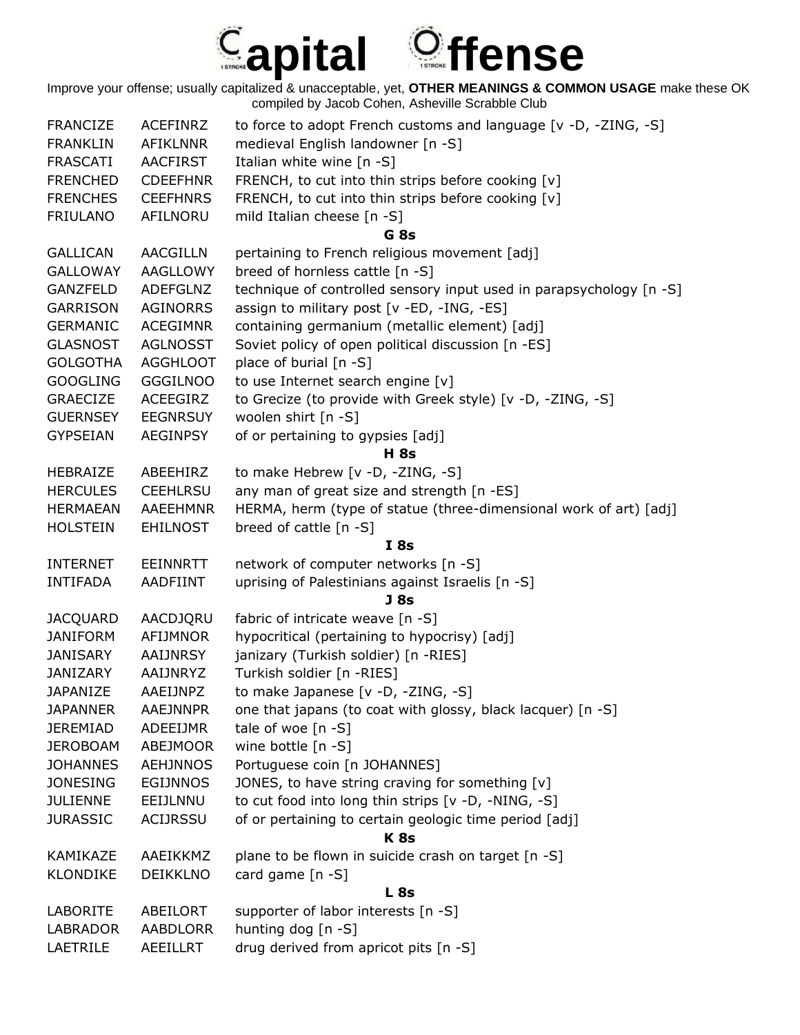

| <b>FRANCIZE</b> | <b>ACEFINRZ</b> | to force to adopt French customs and language [v -D, -ZING, -S]     |
|-----------------|-----------------|---------------------------------------------------------------------|
| <b>FRANKLIN</b> | <b>AFIKLNNR</b> | medieval English landowner [n -S]                                   |
| FRASCATI        | <b>AACFIRST</b> | Italian white wine [n -S]                                           |
| <b>FRENCHED</b> | <b>CDEEFHNR</b> | FRENCH, to cut into thin strips before cooking [v]                  |
| <b>FRENCHES</b> | <b>CEEFHNRS</b> | FRENCH, to cut into thin strips before cooking [v]                  |
| FRIULANO        | AFILNORU        | mild Italian cheese [n -S]                                          |
|                 |                 | G <sub>8s</sub>                                                     |
| <b>GALLICAN</b> | <b>AACGILLN</b> | pertaining to French religious movement [adj]                       |
| <b>GALLOWAY</b> | <b>AAGLLOWY</b> | breed of hornless cattle [n -S]                                     |
| GANZFELD        | <b>ADEFGLNZ</b> | technique of controlled sensory input used in parapsychology [n -S] |
| GARRISON        | <b>AGINORRS</b> | assign to military post [v -ED, -ING, -ES]                          |
| <b>GERMANIC</b> | <b>ACEGIMNR</b> | containing germanium (metallic element) [adj]                       |
| <b>GLASNOST</b> | <b>AGLNOSST</b> | Soviet policy of open political discussion [n -ES]                  |
| <b>GOLGOTHA</b> | <b>AGGHLOOT</b> | place of burial [n -S]                                              |
| <b>GOOGLING</b> | <b>GGGILNOO</b> | to use Internet search engine [v]                                   |
| <b>GRAECIZE</b> | ACEEGIRZ        | to Grecize (to provide with Greek style) [v -D, -ZING, -S]          |
| <b>GUERNSEY</b> | <b>EEGNRSUY</b> | woolen shirt [n -S]                                                 |
| <b>GYPSEIAN</b> | <b>AEGINPSY</b> | of or pertaining to gypsies [adj]                                   |
|                 |                 | <b>H</b> 8s                                                         |
| <b>HEBRAIZE</b> | ABEEHIRZ        | to make Hebrew [v -D, -ZING, -S]                                    |
| <b>HERCULES</b> | <b>CEEHLRSU</b> | any man of great size and strength [n -ES]                          |
| <b>HERMAEAN</b> | <b>AAEEHMNR</b> | HERMA, herm (type of statue (three-dimensional work of art) [adj]   |
| <b>HOLSTEIN</b> | <b>EHILNOST</b> | breed of cattle [n -S]                                              |
|                 |                 | I8s                                                                 |
| <b>INTERNET</b> | EEINNRTT        | network of computer networks [n -S]                                 |
| <b>INTIFADA</b> | <b>AADFIINT</b> | uprising of Palestinians against Israelis [n -S]                    |
|                 |                 | J <sub>8s</sub>                                                     |
| <b>JACQUARD</b> | AACDJQRU        | fabric of intricate weave [n -S]                                    |
| <b>JANIFORM</b> | <b>AFIJMNOR</b> | hypocritical (pertaining to hypocrisy) [adj]                        |
| <b>JANISARY</b> | AAIJNRSY        | janizary (Turkish soldier) [n -RIES]                                |
| <b>JANIZARY</b> | AAIJNRYZ        | Turkish soldier [n -RIES]                                           |
| <b>JAPANIZE</b> | AAEIJNPZ        | to make Japanese [v -D, -ZING, -S]                                  |
| <b>JAPANNER</b> | <b>AAEJNNPR</b> | one that japans (to coat with glossy, black lacquer) [n -S]         |
| <b>JEREMIAD</b> | ADEEIJMR        | tale of woe [n -S]                                                  |
| <b>JEROBOAM</b> | ABEJMOOR        | wine bottle $[n - S]$                                               |
| <b>JOHANNES</b> | <b>AEHJNNOS</b> | Portuguese coin [n JOHANNES]                                        |
| <b>JONESING</b> | <b>EGIJNNOS</b> | JONES, to have string craving for something [v]                     |
| <b>JULIENNE</b> | EEIJLNNU        | to cut food into long thin strips [v -D, -NING, -S]                 |
| <b>JURASSIC</b> | <b>ACIJRSSU</b> | of or pertaining to certain geologic time period [adj]              |
|                 |                 | <b>K8s</b>                                                          |
| KAMIKAZE        | AAEIKKMZ        | plane to be flown in suicide crash on target [n -S]                 |
| <b>KLONDIKE</b> | <b>DEIKKLNO</b> | card game [n -S]                                                    |
|                 |                 | L <sub>8s</sub>                                                     |
| <b>LABORITE</b> | ABEILORT        | supporter of labor interests [n -S]                                 |
| LABRADOR        | AABDLORR        | hunting dog [n -S]                                                  |
| LAETRILE        | AEEILLRT        | drug derived from apricot pits [n -S]                               |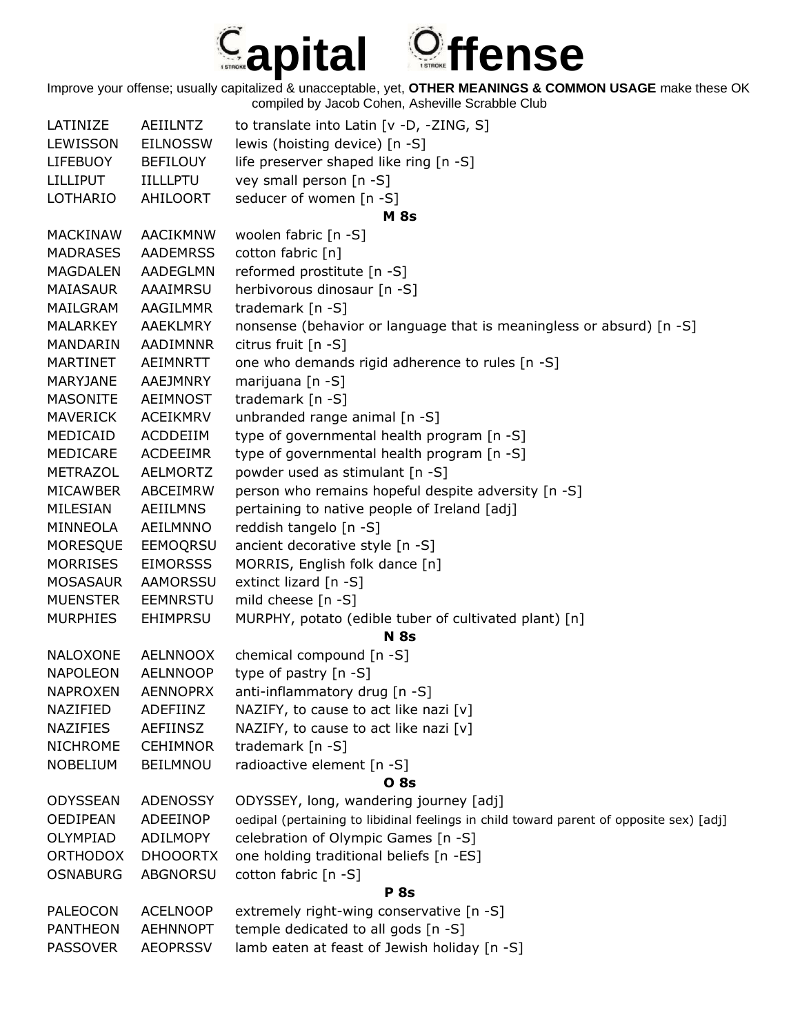

| LATINIZE        | <b>AEIILNTZ</b> | to translate into Latin [v -D, -ZING, S]                                                |
|-----------------|-----------------|-----------------------------------------------------------------------------------------|
| LEWISSON        | <b>EILNOSSW</b> | lewis (hoisting device) [n -S]                                                          |
| <b>LIFEBUOY</b> | <b>BEFILOUY</b> | life preserver shaped like ring [n -S]                                                  |
| <b>LILLIPUT</b> | <b>IILLLPTU</b> | vey small person [n -S]                                                                 |
| LOTHARIO        | AHILOORT        | seducer of women [n -S]                                                                 |
|                 |                 | <b>M</b> 8s                                                                             |
| <b>MACKINAW</b> | AACIKMNW        | woolen fabric [n -S]                                                                    |
| <b>MADRASES</b> | <b>AADEMRSS</b> | cotton fabric [n]                                                                       |
| <b>MAGDALEN</b> | <b>AADEGLMN</b> | reformed prostitute [n -S]                                                              |
| <b>MAIASAUR</b> | AAAIMRSU        | herbivorous dinosaur [n -S]                                                             |
| MAILGRAM        | AAGILMMR        | trademark [n -S]                                                                        |
| <b>MALARKEY</b> | AAEKLMRY        | nonsense (behavior or language that is meaningless or absurd) [n -S]                    |
| MANDARIN        | AADIMNNR        | citrus fruit [n -S]                                                                     |
| <b>MARTINET</b> | AEIMNRTT        | one who demands rigid adherence to rules [n -S]                                         |
| MARYJANE        | AAEJMNRY        | marijuana $[n - S]$                                                                     |
| <b>MASONITE</b> | AEIMNOST        | trademark [n -S]                                                                        |
| <b>MAVERICK</b> | <b>ACEIKMRV</b> | unbranded range animal [n -S]                                                           |
| MEDICAID        | ACDDEIIM        | type of governmental health program [n -S]                                              |
| MEDICARE        | <b>ACDEEIMR</b> | type of governmental health program [n -S]                                              |
| METRAZOL        | <b>AELMORTZ</b> | powder used as stimulant [n -S]                                                         |
| <b>MICAWBER</b> | ABCEIMRW        | person who remains hopeful despite adversity [n -S]                                     |
| MILESIAN        | <b>AEIILMNS</b> | pertaining to native people of Ireland [adj]                                            |
| MINNEOLA        | AEILMNNO        | reddish tangelo [n -S]                                                                  |
| <b>MORESQUE</b> | <b>EEMOQRSU</b> | ancient decorative style [n -S]                                                         |
| <b>MORRISES</b> | <b>EIMORSSS</b> | MORRIS, English folk dance [n]                                                          |
| <b>MOSASAUR</b> | AAMORSSU        | extinct lizard $[n -S]$                                                                 |
| <b>MUENSTER</b> | <b>EEMNRSTU</b> | mild cheese [n -S]                                                                      |
| <b>MURPHIES</b> | <b>EHIMPRSU</b> | MURPHY, potato (edible tuber of cultivated plant) [n]                                   |
|                 |                 | <b>N</b> 8s                                                                             |
| <b>NALOXONE</b> | <b>AELNNOOX</b> | chemical compound [n -S]                                                                |
| <b>NAPOLEON</b> | <b>AELNNOOP</b> | type of pastry [n -S]                                                                   |
| <b>NAPROXEN</b> | <b>AENNOPRX</b> | anti-inflammatory drug [n -S]                                                           |
| NAZIFIED        | ADEFIINZ        | NAZIFY, to cause to act like nazi [v]                                                   |
| <b>NAZIFIES</b> | <b>AEFIINSZ</b> | NAZIFY, to cause to act like nazi [v]                                                   |
| <b>NICHROME</b> | <b>CEHIMNOR</b> | trademark [n -S]                                                                        |
| <b>NOBELIUM</b> | <b>BEILMNOU</b> | radioactive element [n -S]                                                              |
|                 |                 | <b>O</b> 8s                                                                             |
| <b>ODYSSEAN</b> | <b>ADENOSSY</b> | ODYSSEY, long, wandering journey [adj]                                                  |
| <b>OEDIPEAN</b> | ADEEINOP        | oedipal (pertaining to libidinal feelings in child toward parent of opposite sex) [adj] |
| OLYMPIAD        | ADILMOPY        | celebration of Olympic Games [n -S]                                                     |
| <b>ORTHODOX</b> | <b>DHOOORTX</b> | one holding traditional beliefs [n -ES]                                                 |
| <b>OSNABURG</b> | <b>ABGNORSU</b> | cotton fabric [n -S]                                                                    |
|                 |                 | <b>P</b> 8s                                                                             |
| <b>PALEOCON</b> | <b>ACELNOOP</b> | extremely right-wing conservative [n -S]                                                |
| <b>PANTHEON</b> | <b>AEHNNOPT</b> | temple dedicated to all gods [n -S]                                                     |
| <b>PASSOVER</b> | <b>AEOPRSSV</b> | lamb eaten at feast of Jewish holiday [n -S]                                            |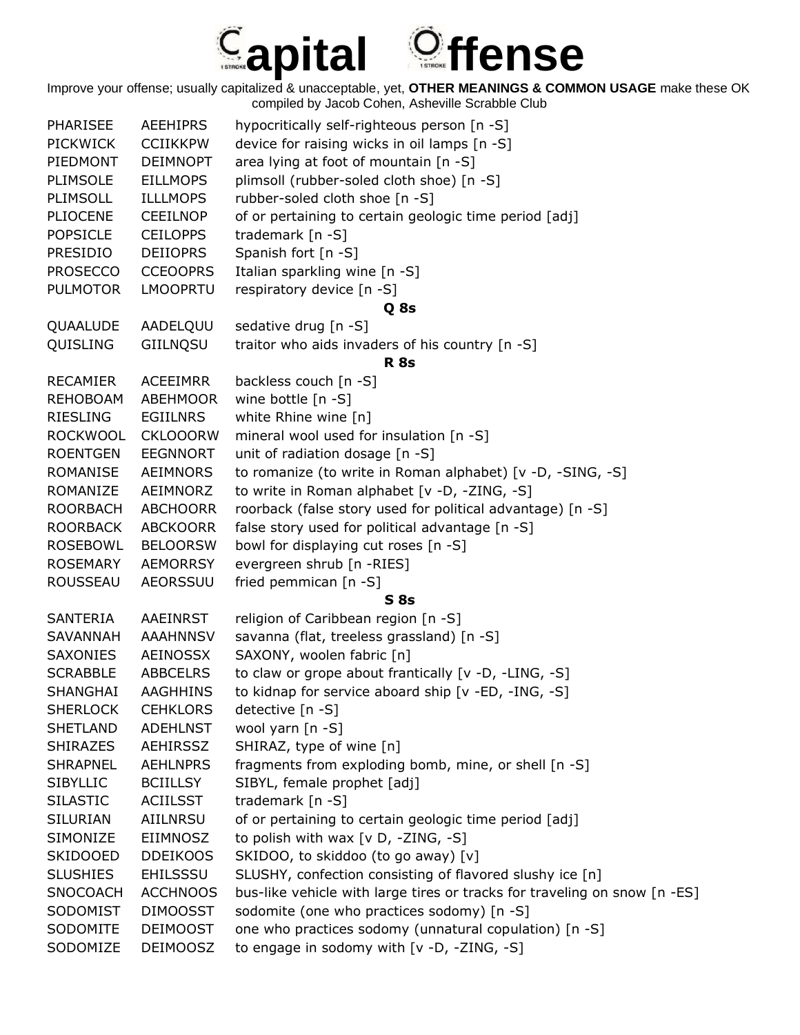

| <b>PHARISEE</b> | <b>AEEHIPRS</b> | hypocritically self-righteous person [n -S]                               |
|-----------------|-----------------|---------------------------------------------------------------------------|
| <b>PICKWICK</b> | <b>CCIIKKPW</b> | device for raising wicks in oil lamps [n -S]                              |
| PIEDMONT        | <b>DEIMNOPT</b> | area lying at foot of mountain [n -S]                                     |
| PLIMSOLE        | <b>EILLMOPS</b> | plimsoll (rubber-soled cloth shoe) [n -S]                                 |
| PLIMSOLL        | <b>ILLLMOPS</b> | rubber-soled cloth shoe [n -S]                                            |
| <b>PLIOCENE</b> | <b>CEEILNOP</b> | of or pertaining to certain geologic time period [adj]                    |
| <b>POPSICLE</b> | <b>CEILOPPS</b> | trademark [n -S]                                                          |
| <b>PRESIDIO</b> | <b>DEIIOPRS</b> | Spanish fort [n -S]                                                       |
| <b>PROSECCO</b> | <b>CCEOOPRS</b> | Italian sparkling wine [n -S]                                             |
| <b>PULMOTOR</b> | <b>LMOOPRTU</b> | respiratory device [n -S]                                                 |
|                 |                 | Q 8s                                                                      |
| QUAALUDE        | AADELQUU        | sedative drug [n -S]                                                      |
| QUISLING        | GIILNQSU        | traitor who aids invaders of his country [n -S]                           |
|                 |                 | <b>R</b> 8s                                                               |
| <b>RECAMIER</b> | <b>ACEEIMRR</b> | backless couch [n -S]                                                     |
| <b>REHOBOAM</b> | <b>ABEHMOOR</b> | wine bottle $[n - S]$                                                     |
| <b>RIESLING</b> | <b>EGIILNRS</b> |                                                                           |
| <b>ROCKWOOL</b> |                 | white Rhine wine [n]<br>mineral wool used for insulation [n -S]           |
|                 | <b>CKLOOORW</b> |                                                                           |
| <b>ROENTGEN</b> | <b>EEGNNORT</b> | unit of radiation dosage [n -S]                                           |
| <b>ROMANISE</b> | AEIMNORS        | to romanize (to write in Roman alphabet) [v -D, -SING, -S]                |
| ROMANIZE        | AEIMNORZ        | to write in Roman alphabet [v -D, -ZING, -S]                              |
| <b>ROORBACH</b> | <b>ABCHOORR</b> | roorback (false story used for political advantage) [n -S]                |
| <b>ROORBACK</b> | <b>ABCKOORR</b> | false story used for political advantage [n -S]                           |
| <b>ROSEBOWL</b> | <b>BELOORSW</b> | bowl for displaying cut roses [n -S]                                      |
| <b>ROSEMARY</b> | <b>AEMORRSY</b> | evergreen shrub [n -RIES]                                                 |
| <b>ROUSSEAU</b> | <b>AEORSSUU</b> | fried pemmican [n -S]                                                     |
|                 |                 | <b>S</b> 8s                                                               |
| SANTERIA        | AAEINRST        | religion of Caribbean region [n -S]                                       |
| <b>SAVANNAH</b> | <b>AAAHNNSV</b> | savanna (flat, treeless grassland) [n -S]                                 |
| SAXONIES        | AEINOSSX        | SAXONY, woolen fabric [n]                                                 |
| <b>SCRABBLE</b> | <b>ABBCELRS</b> | to claw or grope about frantically [v -D, -LING, -S]                      |
| <b>SHANGHAI</b> | <b>AAGHHINS</b> | to kidnap for service aboard ship [v -ED, -ING, -S]                       |
| <b>SHERLOCK</b> | <b>CEHKLORS</b> | detective [n -S]                                                          |
| <b>SHETLAND</b> | <b>ADEHLNST</b> | wool yarn [n -S]                                                          |
| <b>SHIRAZES</b> | AEHIRSSZ        | SHIRAZ, type of wine [n]                                                  |
| <b>SHRAPNEL</b> | <b>AEHLNPRS</b> | fragments from exploding bomb, mine, or shell [n -S]                      |
| <b>SIBYLLIC</b> | <b>BCIILLSY</b> | SIBYL, female prophet [adj]                                               |
| <b>SILASTIC</b> | <b>ACIILSST</b> | trademark [n -S]                                                          |
| <b>SILURIAN</b> | AIILNRSU        | of or pertaining to certain geologic time period [adj]                    |
| SIMONIZE        | EIIMNOSZ        | to polish with wax [v D, -ZING, -S]                                       |
| <b>SKIDOOED</b> | <b>DDEIKOOS</b> | SKIDOO, to skiddoo (to go away) [v]                                       |
| <b>SLUSHIES</b> | <b>EHILSSSU</b> | SLUSHY, confection consisting of flavored slushy ice [n]                  |
| <b>SNOCOACH</b> | <b>ACCHNOOS</b> | bus-like vehicle with large tires or tracks for traveling on snow [n -ES] |
| SODOMIST        | <b>DIMOOSST</b> | sodomite (one who practices sodomy) [n -S]                                |
| SODOMITE        | <b>DEIMOOST</b> | one who practices sodomy (unnatural copulation) [n -S]                    |
| SODOMIZE        | <b>DEIMOOSZ</b> | to engage in sodomy with [v -D, -ZING, -S]                                |
|                 |                 |                                                                           |